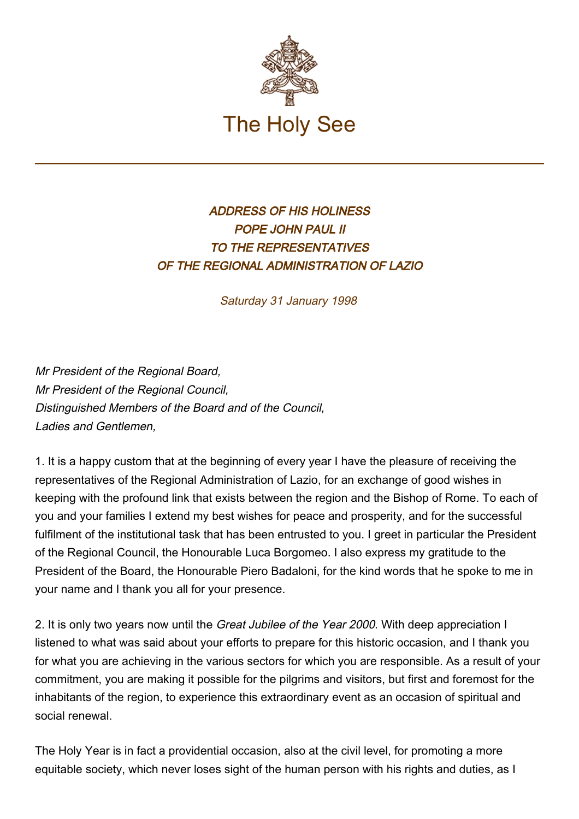

## ADDRESS OF HIS HOLINESS POPE JOHN PAUL II TO THE REPRESENTATIVES OF THE REGIONAL ADMINISTRATION OF LAZIO

Saturday 31 January 1998

Mr President of the Regional Board, Mr President of the Regional Council, Distinguished Members of the Board and of the Council, Ladies and Gentlemen,

1. It is a happy custom that at the beginning of every year I have the pleasure of receiving the representatives of the Regional Administration of Lazio, for an exchange of good wishes in keeping with the profound link that exists between the region and the Bishop of Rome. To each of you and your families I extend my best wishes for peace and prosperity, and for the successful fulfilment of the institutional task that has been entrusted to you. I greet in particular the President of the Regional Council, the Honourable Luca Borgomeo. I also express my gratitude to the President of the Board, the Honourable Piero Badaloni, for the kind words that he spoke to me in your name and I thank you all for your presence.

2. It is only two years now until the *Great Jubilee of the Year 2000*. With deep appreciation I listened to what was said about your efforts to prepare for this historic occasion, and I thank you for what you are achieving in the various sectors for which you are responsible. As a result of your commitment, you are making it possible for the pilgrims and visitors, but first and foremost for the inhabitants of the region, to experience this extraordinary event as an occasion of spiritual and social renewal.

The Holy Year is in fact a providential occasion, also at the civil level, for promoting a more equitable society, which never loses sight of the human person with his rights and duties, as I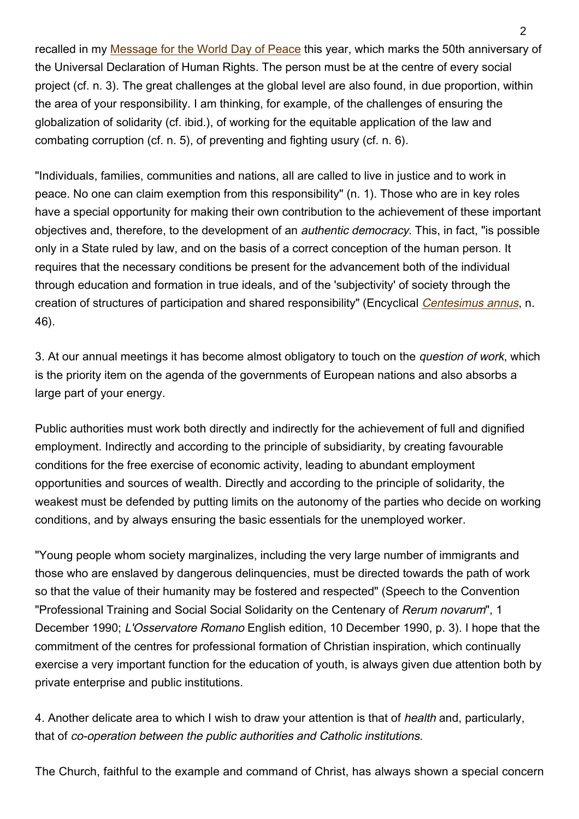recalled in my [Message for the World Day of Peace](https://www.vatican.va/content/john-paul-ii/en/messages/peace/documents/hf_jp-ii_mes_08121997_xxxi-world-day-for-peace.html) this year, which marks the 50th anniversary of the Universal Declaration of Human Rights. The person must be at the centre of every social project (cf. n. 3). The great challenges at the global level are also found, in due proportion, within the area of your responsibility. I am thinking, for example, of the challenges of ensuring the globalization of solidarity (cf. ibid.), of working for the equitable application of the law and combating corruption (cf. n. 5), of preventing and fighting usury (cf. n. 6).

"Individuals, families, communities and nations, all are called to live in justice and to work in peace. No one can claim exemption from this responsibility" (n. 1). Those who are in key roles have a special opportunity for making their own contribution to the achievement of these important objectives and, therefore, to the development of an authentic democracy. This, in fact, "is possible only in a State ruled by law, and on the basis of a correct conception of the human person. It requires that the necessary conditions be present for the advancement both of the individual through education and formation in true ideals, and of the 'subjectivity' of society through the creation of structures of participation and shared responsibility" (Encyclical [Centesimus annus](http://www.vatican.va/edocs/ENG0214/_INDEX.HTM), n. 46).

3. At our annual meetings it has become almost obligatory to touch on the *question of work*, which is the priority item on the agenda of the governments of European nations and also absorbs a large part of your energy.

Public authorities must work both directly and indirectly for the achievement of full and dignified employment. Indirectly and according to the principle of subsidiarity, by creating favourable conditions for the free exercise of economic activity, leading to abundant employment opportunities and sources of wealth. Directly and according to the principle of solidarity, the weakest must be defended by putting limits on the autonomy of the parties who decide on working conditions, and by always ensuring the basic essentials for the unemployed worker.

"Young people whom society marginalizes, including the very large number of immigrants and those who are enslaved by dangerous delinquencies, must be directed towards the path of work so that the value of their humanity may be fostered and respected" (Speech to the Convention "Professional Training and Social Social Solidarity on the Centenary of Rerum novarum", 1 December 1990; L'Osservatore Romano English edition, 10 December 1990, p. 3). I hope that the commitment of the centres for professional formation of Christian inspiration, which continually exercise a very important function for the education of youth, is always given due attention both by private enterprise and public institutions.

4. Another delicate area to which I wish to draw your attention is that of health and, particularly, that of co-operation between the public authorities and Catholic institutions.

The Church, faithful to the example and command of Christ, has always shown a special concern